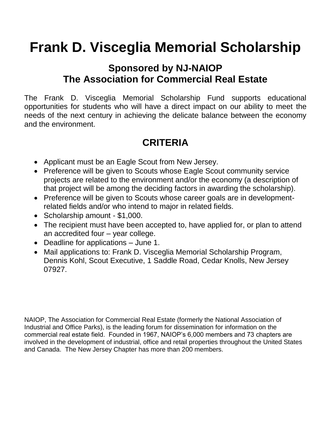# **Frank D. Visceglia Memorial Scholarship**

## **Sponsored by NJ-NAIOP The Association for Commercial Real Estate**

The Frank D. Visceglia Memorial Scholarship Fund supports educational opportunities for students who will have a direct impact on our ability to meet the needs of the next century in achieving the delicate balance between the economy and the environment.

# **CRITERIA**

- Applicant must be an Eagle Scout from New Jersey.
- Preference will be given to Scouts whose Eagle Scout community service projects are related to the environment and/or the economy (a description of that project will be among the deciding factors in awarding the scholarship).
- Preference will be given to Scouts whose career goals are in developmentrelated fields and/or who intend to major in related fields.
- Scholarship amount \$1,000.
- The recipient must have been accepted to, have applied for, or plan to attend an accredited four – year college.
- Deadline for applications June 1.
- Mail applications to: Frank D. Visceglia Memorial Scholarship Program, Dennis Kohl, Scout Executive, 1 Saddle Road, Cedar Knolls, New Jersey 07927.

NAIOP, The Association for Commercial Real Estate (formerly the National Association of Industrial and Office Parks), is the leading forum for dissemination for information on the commercial real estate field. Founded in 1967, NAIOP's 6,000 members and 73 chapters are involved in the development of industrial, office and retail properties throughout the United States and Canada. The New Jersey Chapter has more than 200 members.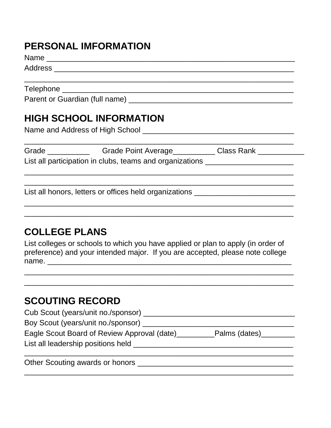## **PERSONAL IMFORMATION**

Name \_\_\_\_\_\_\_\_\_\_\_\_\_\_\_\_\_\_\_\_\_\_\_\_\_\_\_\_\_\_\_\_\_\_\_\_\_\_\_\_\_\_\_\_\_\_\_\_\_\_\_\_\_\_\_\_\_\_\_

Address \_\_\_\_\_\_\_\_\_\_\_\_\_\_\_\_\_\_\_\_\_\_\_\_\_\_\_\_\_\_\_\_\_\_\_\_\_\_\_\_\_\_\_\_\_\_\_\_\_\_\_\_\_\_\_\_\_

Telephone \_\_\_\_\_\_\_\_\_\_\_\_\_\_\_\_\_\_\_\_\_\_\_\_\_\_\_\_\_\_\_\_\_\_\_\_\_\_\_\_\_\_\_\_\_\_\_\_\_\_\_\_\_\_\_

Parent or Guardian (full name) \_\_\_\_\_\_\_\_\_\_\_\_\_\_\_\_\_\_\_\_\_\_\_\_\_\_\_\_\_\_\_\_\_\_\_\_\_\_\_

## **HIGH SCHOOL INFORMATION**

Name and Address of High School \_\_\_\_\_\_\_\_\_\_\_\_\_\_\_\_\_\_\_\_\_\_\_\_\_\_\_\_\_\_\_\_\_\_\_\_

| Grade                                                    | <b>Grade Point Average</b> | <b>Class Rank</b> |  |  |  |
|----------------------------------------------------------|----------------------------|-------------------|--|--|--|
| List all participation in clubs, teams and organizations |                            |                   |  |  |  |

\_\_\_\_\_\_\_\_\_\_\_\_\_\_\_\_\_\_\_\_\_\_\_\_\_\_\_\_\_\_\_\_\_\_\_\_\_\_\_\_\_\_\_\_\_\_\_\_\_\_\_\_\_\_\_\_\_\_\_\_\_\_\_\_

\_\_\_\_\_\_\_\_\_\_\_\_\_\_\_\_\_\_\_\_\_\_\_\_\_\_\_\_\_\_\_\_\_\_\_\_\_\_\_\_\_\_\_\_\_\_\_\_\_\_\_\_\_\_\_\_\_\_\_\_\_\_\_\_ \_\_\_\_\_\_\_\_\_\_\_\_\_\_\_\_\_\_\_\_\_\_\_\_\_\_\_\_\_\_\_\_\_\_\_\_\_\_\_\_\_\_\_\_\_\_\_\_\_\_\_\_\_\_\_\_\_\_\_\_\_\_\_\_

\_\_\_\_\_\_\_\_\_\_\_\_\_\_\_\_\_\_\_\_\_\_\_\_\_\_\_\_\_\_\_\_\_\_\_\_\_\_\_\_\_\_\_\_\_\_\_\_\_\_\_\_\_\_\_\_\_\_\_\_\_\_\_\_

List all honors, letters or offices held organizations \_\_\_\_\_\_\_\_\_\_\_\_\_\_\_\_\_\_\_\_\_\_\_\_\_

## **COLLEGE PLANS**

List colleges or schools to which you have applied or plan to apply (in order of preference) and your intended major. If you are accepted, please note college name. \_\_\_\_\_\_\_\_\_\_\_\_\_\_\_\_\_\_\_\_\_\_\_\_\_\_\_\_\_\_\_\_\_\_\_\_\_\_\_\_\_\_\_\_\_\_\_\_\_\_\_\_\_\_\_\_\_\_

\_\_\_\_\_\_\_\_\_\_\_\_\_\_\_\_\_\_\_\_\_\_\_\_\_\_\_\_\_\_\_\_\_\_\_\_\_\_\_\_\_\_\_\_\_\_\_\_\_\_\_\_\_\_\_\_\_\_\_\_\_\_\_\_ \_\_\_\_\_\_\_\_\_\_\_\_\_\_\_\_\_\_\_\_\_\_\_\_\_\_\_\_\_\_\_\_\_\_\_\_\_\_\_\_\_\_\_\_\_\_\_\_\_\_\_\_\_\_\_\_\_\_\_\_\_\_\_\_

### **SCOUTING RECORD**

| Cub Scout (years/unit no./sponsor)          |               |
|---------------------------------------------|---------------|
| Boy Scout (years/unit no./sponsor)          |               |
| Eagle Scout Board of Review Approval (date) | Palms (dates) |
| List all leadership positions held          |               |
|                                             |               |

\_\_\_\_\_\_\_\_\_\_\_\_\_\_\_\_\_\_\_\_\_\_\_\_\_\_\_\_\_\_\_\_\_\_\_\_\_\_\_\_\_\_\_\_\_\_\_\_\_\_\_\_\_\_\_\_\_\_\_\_\_\_\_\_

Other Scouting awards or honors \_\_\_\_\_\_\_\_\_\_\_\_\_\_\_\_\_\_\_\_\_\_\_\_\_\_\_\_\_\_\_\_\_\_\_\_\_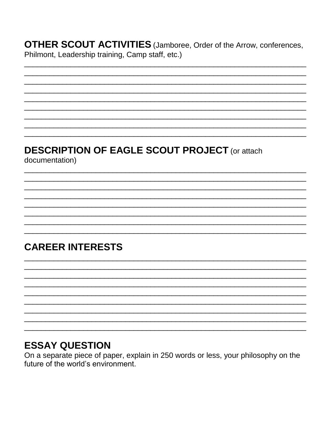**OTHER SCOUT ACTIVITIES** (Jamboree, Order of the Arrow, conferences, Philmont, Leadership training, Camp staff, etc.)

# **DESCRIPTION OF EAGLE SCOUT PROJECT (or attach**

documentation)

# **CAREER INTERESTS**

#### **ESSAY QUESTION**

On a separate piece of paper, explain in 250 words or less, your philosophy on the future of the world's environment.